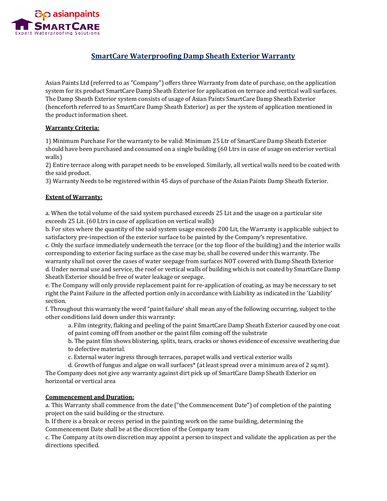

# **SmartCare Waterproofing Damp Sheath Exterior Warranty**

Asian Paints Ltd (referred to as "Company") offers three Warranty from date of purchase, on the application system for its product SmartCare Damp Sheath Exterior for application on terrace and vertical wall surfaces. The Damp Sheath Exterior system consists of usage of Asian Paints SmartCare Damp Sheath Exterior (henceforth referred to as SmartCare Damp Sheath Exterior) as per the system of application mentioned in the product information sheet.

## **Warranty Criteria:**

1) Minimum Purchase For the warranty to be valid: Minimum 25 Ltr of SmartCare Damp Sheath Exterior should have been purchased and consumed on a single building (60 Ltrs in case of usage on exterior vertical walls)

2) Entire terrace along with parapet needs to be enveloped. Similarly, all vertical walls need to be coated with the said product.

3) Warranty Needs to be registered within 45 days of purchase of the Asian Paints Damp Sheath Exterior.

## **Extent of Warranty:**

a. When the total volume of the said system purchased exceeds 25 Lit and the usage on a particular site exceeds 25 Lit. (60 Ltrs in case of application on vertical walls)

b. For sites where the quantity of the said system usage exceeds 200 Lit, the Warranty is applicable subject to satisfactory pre-inspection of the exterior surface to be painted by the Company's representative.

c. Only the surface immediately underneath the terrace (or the top floor of the building) and the interior walls corresponding to exterior facing surface as the case may be, shall be covered under this warranty. The warranty shall not cover the cases of water seepage from surfaces NOT covered with Damp Sheath Exterior d. Under normal use and service, the roof or vertical walls of building which is not coated by SmartCare Damp Sheath Exterior should be free of water leakage or seepage.

e. The Company will only provide replacement paint for re-application of coating, as may be necessary to set right the Paint Failure in the affected portion only in accordance with Liability as indicated in the 'Liability' section.

f. Throughout this warranty the word "paint failure' shall mean any of the following occurring, subject to the other conditions laid down under this warranty:

a. Film integrity, flaking and peeling of the paint SmartCare Damp Sheath Exterior caused by one coat of paint coming off from another or the paint film coming off the substrate

b. The paint film shows blistering, splits, tears, cracks or shows evidence of excessive weathering due to defective material.

c. External water ingress through terraces, parapet walls and vertical exterior walls

d. Growth of fungus and algae on wall surfaces\* (at least spread over a minimum area of 2 sq.mt). The Company does not give any warranty against dirt pick up of SmartCare Damp Sheath Exterior on horizontal or vertical area

#### **Commencement and Duration:**

a. This Warranty shall commence from the date ("the Commencement Date") of completion of the painting project on the said building or the structure.

b. If there is a break or recess period in the painting work on the same building, determining the Commencement Date shall be at the discretion of the Company team

c. The Company at its own discretion may appoint a person to inspect and validate the application as per the directions specified.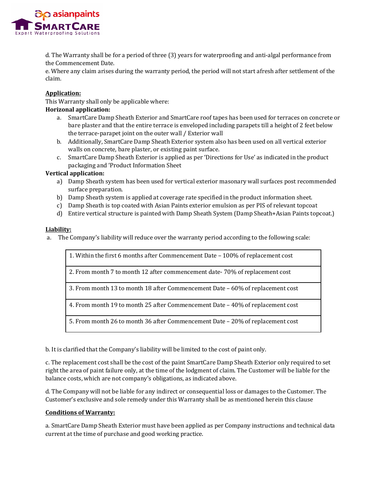

d. The Warranty shall be for a period of three (3) years for waterproofing and anti-algal performance from the Commencement Date.

e. Where any claim arises during the warranty period, the period will not start afresh after settlement of the claim.

## **Application:**

This Warranty shall only be applicable where:

## **Horizonal application:**

- a. SmartCare Damp Sheath Exterior and SmartCare roof tapes has been used for terraces on concrete or bare plaster and that the entire terrace is enveloped including parapets till a height of 2 feet below the terrace-parapet joint on the outer wall / Exterior wall
- b. Additionally, SmartCare Damp Sheath Exterior system also has been used on all vertical exterior walls on concrete, bare plaster, or existing paint surface.
- c. SmartCare Damp Sheath Exterior is applied as per 'Directions for Use' as indicated in the product packaging and 'Product Information Sheet

## **Vertical application:**

- a) Damp Sheath system has been used for vertical exterior masonary wall surfaces post recommended surface preparation.
- b) Damp Sheath system is applied at coverage rate specified in the product information sheet.
- c) Damp Sheath is top coated with Asian Paints exterior emulsion as per PIS of relevant topcoat
- d) Entire vertical structure is painted with Damp Sheath System (Damp Sheath+Asian Paints topcoat.)

#### **Liability:**

a. The Company's liability will reduce over the warranty period according to the following scale:

1. Within the first 6 months after Commencement Date – 100% of replacement cost 2. From month 7 to month 12 after commencement date- 70% of replacement cost 3. From month 13 to month 18 after Commencement Date – 60% of replacement cost 4. From month 19 to month 25 after Commencement Date – 40% of replacement cost 5. From month 26 to month 36 after Commencement Date – 20% of replacement cost

b. It is clarified that the Company's liability will be limited to the cost of paint only.

c. The replacement cost shall be the cost of the paint SmartCare Damp Sheath Exterior only required to set right the area of paint failure only, at the time of the lodgment of claim. The Customer will be liable for the balance costs, which are not company's obligations, as indicated above.

d. The Company will not be liable for any indirect or consequential loss or damages to the Customer. The Customer's exclusive and sole remedy under this Warranty shall be as mentioned herein this clause

#### **Conditions of Warranty:**

a. SmartCare Damp Sheath Exterior must have been applied as per Company instructions and technical data current at the time of purchase and good working practice.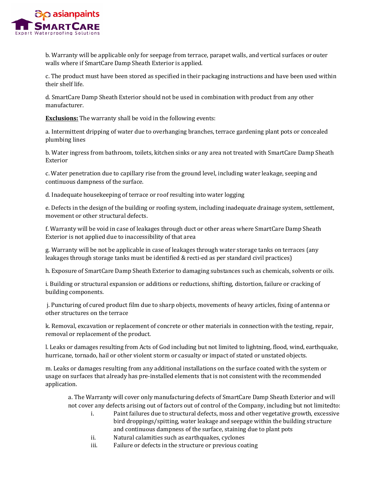

b. Warranty will be applicable only for seepage from terrace, parapet walls, and vertical surfaces or outer walls where if SmartCare Damp Sheath Exterior is applied.

c. The product must have been stored as specified in their packaging instructions and have been used within their shelf life.

d. SmartCare Damp Sheath Exterior should not be used in combination with product from any other manufacturer.

**Exclusions:** The warranty shall be void in the following events:

a. Intermittent dripping of water due to overhanging branches, terrace gardening plant pots or concealed plumbing lines

b. Water ingress from bathroom, toilets, kitchen sinks or any area not treated with SmartCare Damp Sheath Exterior

c. Water penetration due to capillary rise from the ground level, including water leakage, seeping and continuous dampness of the surface.

d. Inadequate housekeeping of terrace or roof resulting into water logging

e. Defects in the design of the building or roofing system, including inadequate drainage system, settlement, movement or other structural defects.

f. Warranty will be void in case of leakages through duct or other areas where SmartCare Damp Sheath Exterior is not applied due to inaccessibility of that area

g. Warranty will be not be applicable in case of leakages through water storage tanks on terraces (any leakages through storage tanks must be identified & recti-ed as per standard civil practices)

h. Exposure of SmartCare Damp Sheath Exterior to damaging substances such as chemicals, solvents or oils.

i. Building or structural expansion or additions or reductions, shifting, distortion, failure or cracking of building components.

j. Puncturing of cured product film due to sharp objects, movements of heavy articles, fixing of antenna or other structures on the terrace

k. Removal, excavation or replacement of concrete or other materials in connection with the testing, repair, removal or replacement of the product.

l. Leaks or damages resulting from Acts of God including but not limited to lightning, flood, wind, earthquake, hurricane, tornado, hail or other violent storm or casualty or impact of stated or unstated objects.

m. Leaks or damages resulting from any additional installations on the surface coated with the system or usage on surfaces that already has pre-installed elements that is not consistent with the recommended application.

a. The Warranty will cover only manufacturing defects of SmartCare Damp Sheath Exterior and will not cover any defects arising out of factors out of control of the Company, including but not limitedto:

- Paint failures due to structural defects, moss and other vegetative growth, excessive bird droppings/spitting, water leakage and seepage within the building structure and continuous dampness of the surface, staining due to plant pots
- ii. Natural calamities such as earthquakes, cyclones<br>iii. Failure or defects in the structure or previous coa
- Failure or defects in the structure or previous coating